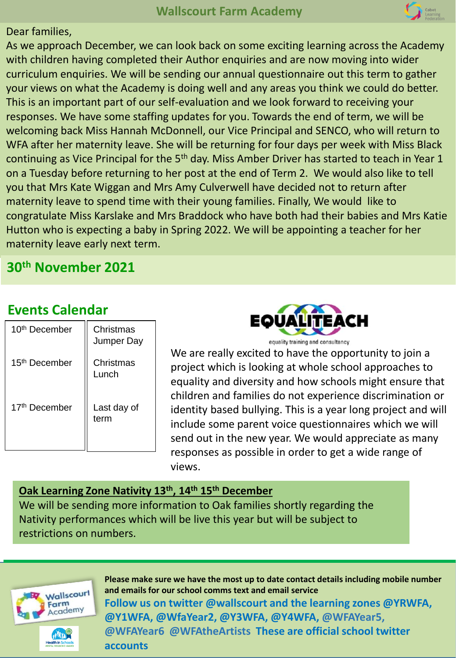#### Dear families,

As we approach December, we can look back on some exciting learning across the Academy with children having completed their Author enquiries and are now moving into wider curriculum enquiries. We will be sending our annual questionnaire out this term to gather your views on what the Academy is doing well and any areas you think we could do better. This is an important part of our self-evaluation and we look forward to receiving your responses. We have some staffing updates for you. Towards the end of term, we will be welcoming back Miss Hannah McDonnell, our Vice Principal and SENCO, who will return to WFA after her maternity leave. She will be returning for four days per week with Miss Black continuing as Vice Principal for the 5<sup>th</sup> day. Miss Amber Driver has started to teach in Year 1 on a Tuesday before returning to her post at the end of Term 2. We would also like to tell you that Mrs Kate Wiggan and Mrs Amy Culverwell have decided not to return after maternity leave to spend time with their young families. Finally, We would like to congratulate Miss Karslake and Mrs Braddock who have both had their babies and Mrs Katie Hutton who is expecting a baby in Spring 2022. We will be appointing a teacher for her maternity leave early next term.

## **30th November 2021**

## **Events Calendar**

| 10 <sup>th</sup> December | Christmas<br>Jumper Day |  |  |
|---------------------------|-------------------------|--|--|
| 15 <sup>th</sup> December | Christmas<br>Lunch      |  |  |
| 17 <sup>th</sup> December | Last day of<br>term     |  |  |



We are really excited to have the opportunity to join a project which is looking at whole school approaches to equality and diversity and how schools might ensure that children and families do not experience discrimination or identity based bullying. This is a year long project and will include some parent voice questionnaires which we will send out in the new year. We would appreciate as many responses as possible in order to get a wide range of views.

#### **Oak Learning Zone Nativity 13th, 14th 15th December**

We will be sending more information to Oak families shortly regarding the Nativity performances which will be live this year but will be subject to restrictions on numbers.



**Please make sure we have the most up to date contact details including mobile number and emails for our school comms text and email service Follow us on twitter @wallscourt and the learning zones @YRWFA, @Y1WFA, @WfaYear2, @Y3WFA, @Y4WFA, @WFAYear5, @WFAYear6 @WFAtheArtists These are official school twitter accounts**